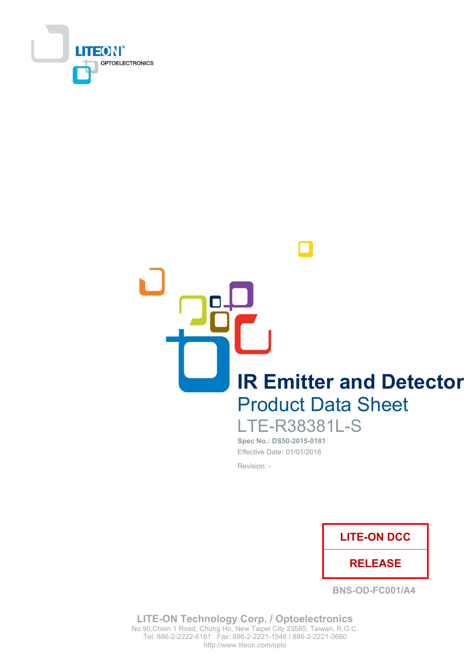

**IR Emitter and Detector Product Data Sheet** 

**LTE-R38381L-S** Spec No.: DS50-2015-0181 Effective Date: 01/01/2016

Revision: -



**BNS-OD-FC001/A4** 

**LITE-ON Technology Corp. / Optoelectronics** No.90, Chien 1 Road, Chung Ho, New Taipei City 23585, Taiwan, R.O.C. Tel: 886-2-2222-6181 Fax: 886-2-2221-1948 / 886-2-2221-0660 http://www.liteon.com/opto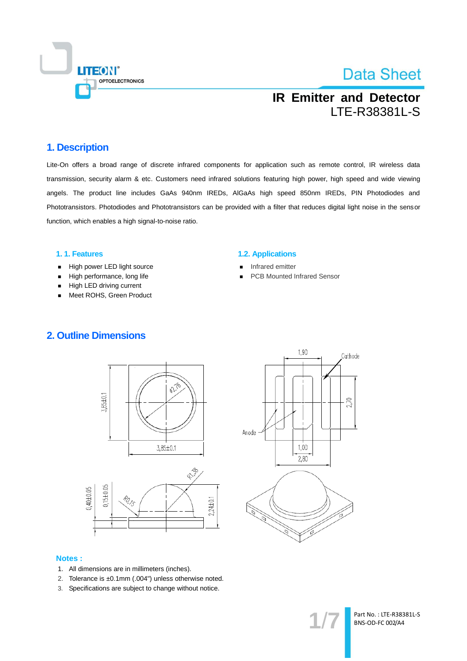

## **IR Emitter and Detector** LTE-R38381L-S

#### 1. Description

Lite-On offers a broad range of discrete infrared components for application such as remote control, IR wireless data transmission, security alarm & etc. Customers need infrared solutions featuring high power, high speed and wide viewing angels. The product line includes GaAs 940nm IREDs, AIGaAs high speed 850nm IREDs, PIN Photodiodes and Phototransistors. Photodiodes and Phototransistors can be provided with a filter that reduces digital light noise in the sensor function, which enables a high signal-to-noise ratio.

#### 1.1. Features

- High power LED light source  $\blacksquare$
- High performance, long life  $\blacksquare$
- High LED driving current
- Meet ROHS, Green Product

#### **1.2. Applications**

- Infrared emitter
- **PCB Mounted Infrared Sensor**







#### **Notes:**

- 1. All dimensions are in millimeters (inches).
- 2. Tolerance is ±0.1mm (.004") unless otherwise noted.
- 3. Specifications are subject to change without notice.

Part No.: LTE-R38381L-S BNS-OD-FC 002/A4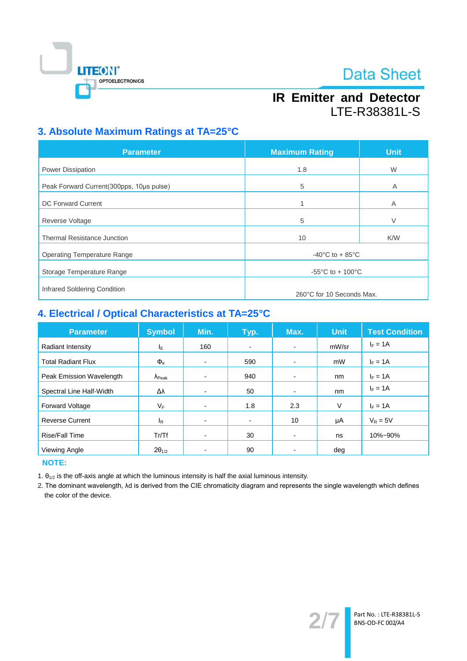

## **IR Emitter and Detector** LTE-R38381L-S

### 3. Absolute Maximum Ratings at TA=25°C

| <b>Parameter</b>                          | <b>Maximum Rating</b>                 | <b>Unit</b> |  |
|-------------------------------------------|---------------------------------------|-------------|--|
| Power Dissipation                         | 1.8                                   | W           |  |
| Peak Forward Current (300pps, 10us pulse) | 5                                     | A           |  |
| <b>DC Forward Current</b>                 |                                       | Α           |  |
| <b>Reverse Voltage</b>                    | 5                                     | V           |  |
| <b>Thermal Resistance Junction</b>        | 10                                    | K/W         |  |
| <b>Operating Temperature Range</b>        | $-40^{\circ}$ C to + 85 $^{\circ}$ C  |             |  |
| Storage Temperature Range                 | $-55^{\circ}$ C to + 100 $^{\circ}$ C |             |  |
| Infrared Soldering Condition              |                                       |             |  |
|                                           | 260°C for 10 Seconds Max.             |             |  |

### 4. Electrical / Optical Characteristics at TA=25°C

| <b>Parameter</b>          | <b>Symbol</b>           | Min. | Typ.                     | Max.                     | <b>Unit</b> | <b>Test Condition</b> |
|---------------------------|-------------------------|------|--------------------------|--------------------------|-------------|-----------------------|
| Radiant Intensity         | ΙE                      | 160  | $\overline{\phantom{a}}$ | $\blacksquare$           | mW/sr       | $I_F = 1A$            |
| <b>Total Radiant Flux</b> | $\Phi_{\rm e}$          | ٠    | 590                      | $\blacksquare$           | mW          | $I_F = 1A$            |
| Peak Emission Wavelength  | $\Lambda_{\text{Peak}}$ |      | 940                      | $\overline{\phantom{0}}$ | nm          | $I_F = 1A$            |
| Spectral Line Half-Width  | Δλ                      | -    | 50                       |                          | nm          | $I_F = 1A$            |
| Forward Voltage           | VF                      | -    | 1.8                      | 2.3                      | V           | $I_F = 1A$            |
| <b>Reverse Current</b>    | l <sub>R</sub>          | -    | $\blacksquare$           | 10                       | μA          | $V_R = 5V$            |
| Rise/Fall Time            | Tr/Tf                   | -    | 30                       | $\overline{\phantom{0}}$ | ns          | 10%~90%               |
| Viewing Angle             | $2\theta_{1/2}$         |      | 90                       |                          | deg         |                       |

**NOTE:** 

1.  $\theta_{1/2}$  is the off-axis angle at which the luminous intensity is half the axial luminous intensity.

2. The dominant wavelength, Ad is derived from the CIE chromaticity diagram and represents the single wavelength which defines the color of the device.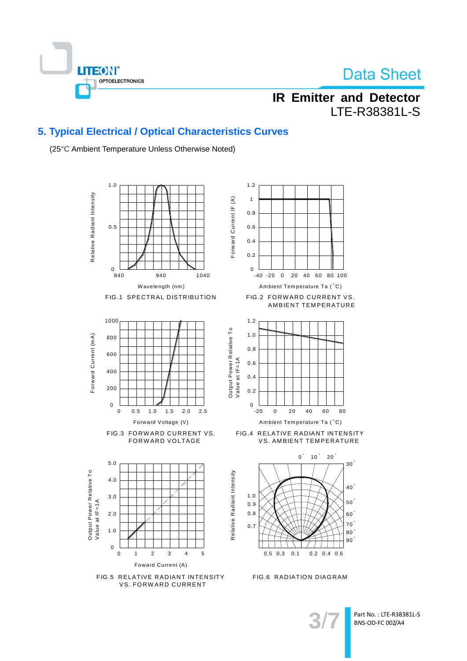

## **IR Emitter and Detector** LTE-R38381L-S

### 5. Typical Electrical / Optical Characteristics Curves

(25°C Ambient Temperature Unless Otherwise Noted)



Part No.: LTE-R38381L-S BNS-OD-FC 002/A4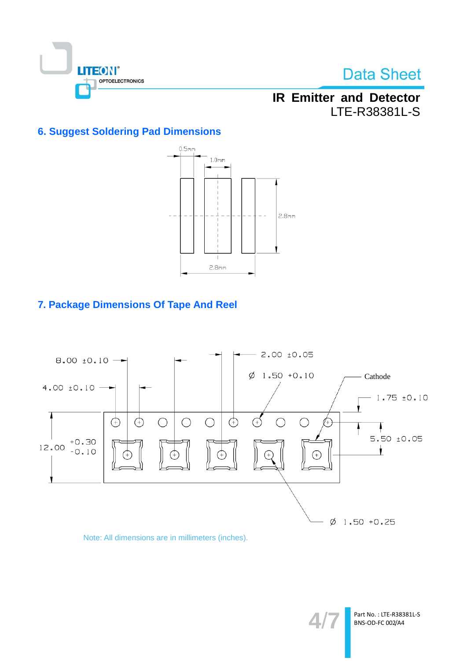

## **IR Emitter and Detector** LTE-R38381L-S

### **6. Suggest Soldering Pad Dimensions**



### 7. Package Dimensions Of Tape And Reel



#### Note: All dimensions are in millimeters (inches).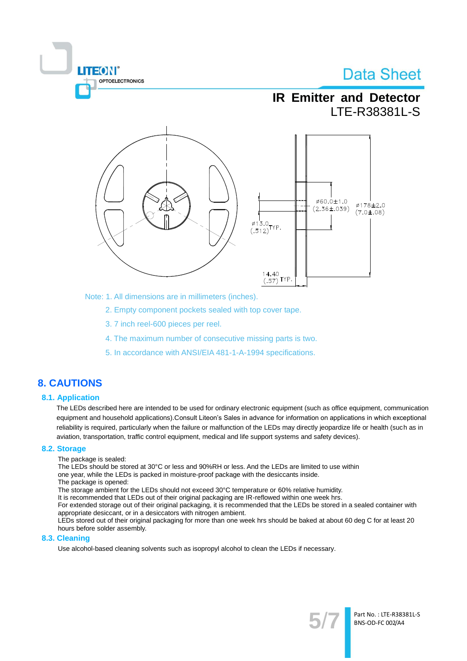

Note: 1. All dimensions are in millimeters (inches).

- 2. Empty component pockets sealed with top cover tape.
- 3.7 inch reel-600 pieces per reel.
- 4. The maximum number of consecutive missing parts is two.
- 5. In accordance with ANSI/EIA 481-1-A-1994 specifications.

### **8. CAUTIONS**

#### **8.1. Application**

The LEDs described here are intended to be used for ordinary electronic equipment (such as office equipment, communication equipment and household applications). Consult Liteon's Sales in advance for information on applications in which exceptional reliability is required, particularly when the failure or malfunction of the LEDs may directly jeopardize life or health (such as in aviation, transportation, traffic control equipment, medical and life support systems and safety devices).

#### 8.2. Storage

The package is sealed:

**TEON** 

OPTOELECTRONICS

The LEDs should be stored at 30°C or less and 90%RH or less. And the LEDs are limited to use within one year, while the LEDs is packed in moisture-proof package with the desiccants inside.

The package is opened:

The storage ambient for the LEDs should not exceed 30°C temperature or 60% relative humidity.

It is recommended that LEDs out of their original packaging are IR-reflowed within one week hrs.

For extended storage out of their original packaging, it is recommended that the LEDs be stored in a sealed container with appropriate desiccant, or in a desiccators with nitrogen ambient.

LEDs stored out of their original packaging for more than one week hrs should be baked at about 60 deg C for at least 20 hours before solder assembly.

#### 8.3. Cleaning

Use alcohol-based cleaning solvents such as isopropyl alcohol to clean the LEDs if necessary.

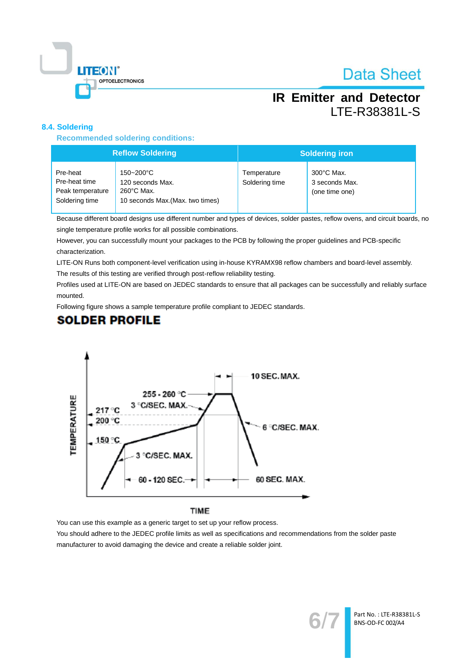

## **IR Emitter and Detector** LTE-R38381L-S

#### 8.4. Soldering

**Recommended soldering conditions:** 

| <b>Reflow Soldering</b>                                         |                                                                                           | <b>Soldering iron</b>         |                                                          |  |
|-----------------------------------------------------------------|-------------------------------------------------------------------------------------------|-------------------------------|----------------------------------------------------------|--|
| Pre-heat<br>Pre-heat time<br>Peak temperature<br>Soldering time | 150~200°C<br>120 seconds Max.<br>$260^{\circ}$ C Max.<br>10 seconds Max. (Max. two times) | Temperature<br>Soldering time | $300^{\circ}$ C Max.<br>3 seconds Max.<br>(one time one) |  |

Because different board designs use different number and types of devices, solder pastes, reflow ovens, and circuit boards, no single temperature profile works for all possible combinations.

However, you can successfully mount your packages to the PCB by following the proper guidelines and PCB-specific characterization.

LITE-ON Runs both component-level verification using in-house KYRAMX98 reflow chambers and board-level assembly.

The results of this testing are verified through post-reflow reliability testing.

Profiles used at LITE-ON are based on JEDEC standards to ensure that all packages can be successfully and reliably surface mounted.

Following figure shows a sample temperature profile compliant to JEDEC standards.

## **SOLDER PROFILE**



You can use this example as a generic target to set up your reflow process. You should adhere to the JEDEC profile limits as well as specifications and recommendations from the solder paste manufacturer to avoid damaging the device and create a reliable solder joint.